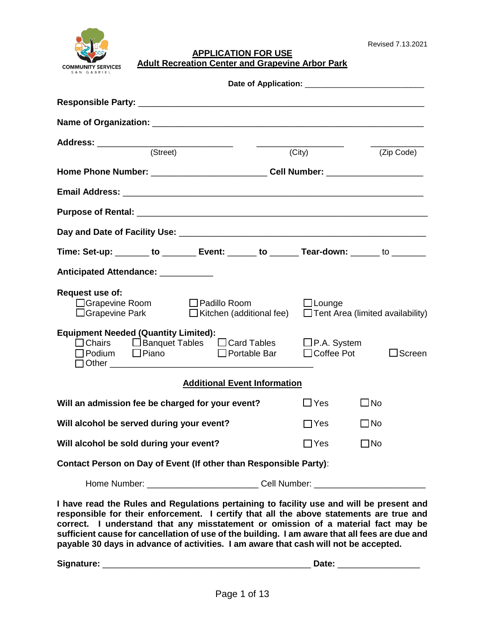

**APPLICATION FOR USE Adult Recreation Center and Grapevine Arbor Park**

| (Street)                                                                                                                                             |                                                                                  | (City)            | (Zip Code)                              |  |  |
|------------------------------------------------------------------------------------------------------------------------------------------------------|----------------------------------------------------------------------------------|-------------------|-----------------------------------------|--|--|
|                                                                                                                                                      | Home Phone Number: ______________________________Cell Number: __________________ |                   |                                         |  |  |
|                                                                                                                                                      |                                                                                  |                   |                                         |  |  |
|                                                                                                                                                      |                                                                                  |                   |                                         |  |  |
|                                                                                                                                                      |                                                                                  |                   |                                         |  |  |
| Time: Set-up: _______ to _______ Event: ______ to ______ Tear-down: ______ to _______                                                                |                                                                                  |                   |                                         |  |  |
| Anticipated Attendance: ___________                                                                                                                  |                                                                                  |                   |                                         |  |  |
| Request use of:<br>□ Grapevine Room □ Padillo Room<br>$\Box$ Grapevine Park<br>$\Box$ Kitchen (additional fee)                                       |                                                                                  | $\Box$ Lounge     | $\Box$ Tent Area (limited availability) |  |  |
| <b>Equipment Needed (Quantity Limited):</b><br>□ Chairs □ Banquet Tables □ Card Tables □ P.A. System<br>■ Portable Bar<br>$\Box$ Podium $\Box$ Piano |                                                                                  | $\Box$ Coffee Pot | $\Box$ Screen                           |  |  |
| <b>Additional Event Information</b>                                                                                                                  |                                                                                  |                   |                                         |  |  |
| Will an admission fee be charged for your event?                                                                                                     |                                                                                  | $\sqcup$ Yes      | $\bigsqcup$ No                          |  |  |
| Will alcohol be served during your event?                                                                                                            |                                                                                  | $\sqcap$ Yes      | $\Box$ No                               |  |  |
| Will alcohol be sold during your event?                                                                                                              |                                                                                  | $\sqsupset$ Yes   | $\square$ No                            |  |  |
| Contact Person on Day of Event (If other than Responsible Party):                                                                                    |                                                                                  |                   |                                         |  |  |
| Home Number: _______________________________Cell Number: _______________________                                                                     |                                                                                  |                   |                                         |  |  |

**I have read the Rules and Regulations pertaining to facility use and will be present and responsible for their enforcement. I certify that all the above statements are true and correct. I understand that any misstatement or omission of a material fact may be sufficient cause for cancellation of use of the building. I am aware that all fees are due and payable 30 days in advance of activities. I am aware that cash will not be accepted.** 

**Signature:** \_\_\_\_\_\_\_\_\_\_\_\_\_\_\_\_\_\_\_\_\_\_\_\_\_\_\_\_\_\_\_\_\_\_\_\_\_\_\_\_\_\_\_ **Date:** \_\_\_\_\_\_\_\_\_\_\_\_\_\_\_\_\_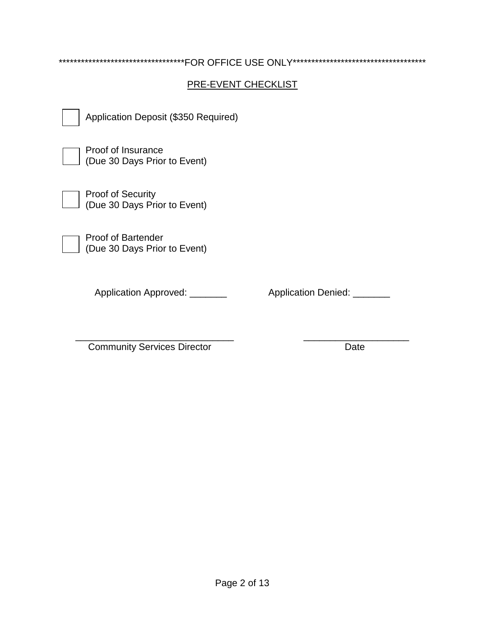| **********************************FOR OFFICE USE ONLY*********************************** |  |  |  |  |
|------------------------------------------------------------------------------------------|--|--|--|--|
| PRE-EVENT CHECKLIST                                                                      |  |  |  |  |
| Application Deposit (\$350 Required)                                                     |  |  |  |  |
| Proof of Insurance<br>(Due 30 Days Prior to Event)                                       |  |  |  |  |
| <b>Proof of Security</b><br>(Due 30 Days Prior to Event)                                 |  |  |  |  |
| <b>Proof of Bartender</b><br>(Due 30 Days Prior to Event)                                |  |  |  |  |
| <b>Application Approved:</b><br><b>Application Denied:</b>                               |  |  |  |  |

\_\_\_\_\_\_\_\_\_\_\_\_\_\_\_\_\_\_\_\_\_\_\_\_\_\_\_\_\_\_ \_\_\_\_\_\_\_\_\_\_\_\_\_\_\_\_\_\_\_\_ Community Services Director Date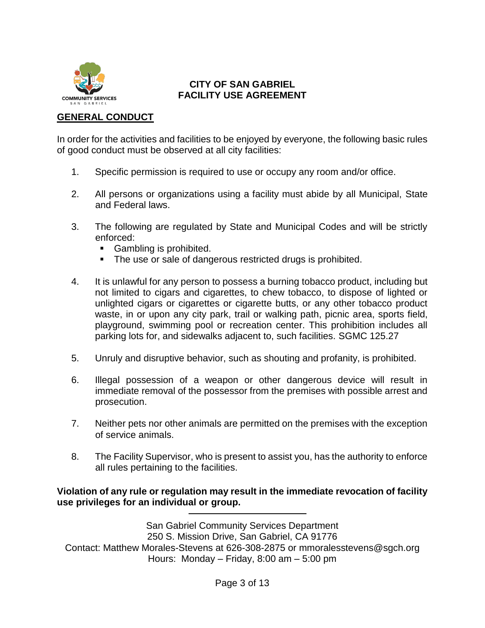

#### **CITY OF SAN GABRIEL FACILITY USE AGREEMENT**

#### **GENERAL CONDUCT**

In order for the activities and facilities to be enjoyed by everyone, the following basic rules of good conduct must be observed at all city facilities:

- 1. Specific permission is required to use or occupy any room and/or office.
- 2. All persons or organizations using a facility must abide by all Municipal, State and Federal laws.
- 3. The following are regulated by State and Municipal Codes and will be strictly enforced:
	- Gambling is prohibited.
	- The use or sale of dangerous restricted drugs is prohibited.
- 4. It is unlawful for any person to possess a burning tobacco product, including but not limited to cigars and cigarettes, to chew tobacco, to dispose of lighted or unlighted cigars or cigarettes or cigarette butts, or any other tobacco product waste, in or upon any city park, trail or walking path, picnic area, sports field, playground, swimming pool or recreation center. This prohibition includes all parking lots for, and sidewalks adjacent to, such facilities. SGMC 125.27
- 5. Unruly and disruptive behavior, such as shouting and profanity, is prohibited.
- 6. Illegal possession of a weapon or other dangerous device will result in immediate removal of the possessor from the premises with possible arrest and prosecution.
- 7. Neither pets nor other animals are permitted on the premises with the exception of service animals.
- 8. The Facility Supervisor, who is present to assist you, has the authority to enforce all rules pertaining to the facilities.

**Violation of any rule or regulation may result in the immediate revocation of facility use privileges for an individual or group.**

San Gabriel Community Services Department 250 S. Mission Drive, San Gabriel, CA 91776 Contact: Matthew Morales-Stevens at 626-308-2875 or mmoralesstevens@sgch.org Hours: Monday – Friday, 8:00 am – 5:00 pm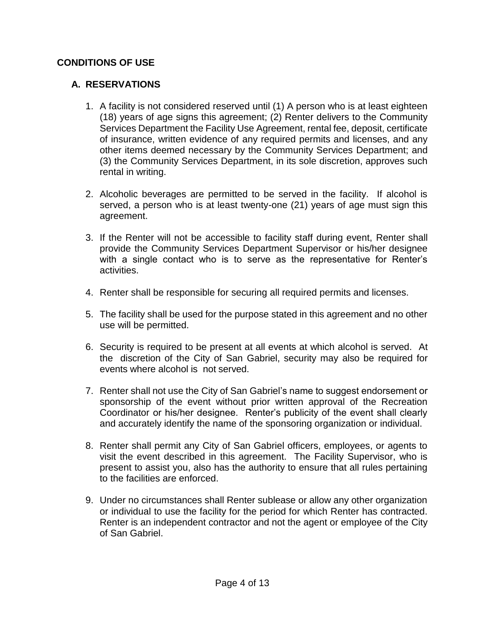#### **CONDITIONS OF USE**

#### **A. RESERVATIONS**

- 1. A facility is not considered reserved until (1) A person who is at least eighteen (18) years of age signs this agreement; (2) Renter delivers to the Community Services Department the Facility Use Agreement, rental fee, deposit, certificate of insurance, written evidence of any required permits and licenses, and any other items deemed necessary by the Community Services Department; and (3) the Community Services Department, in its sole discretion, approves such rental in writing.
- 2. Alcoholic beverages are permitted to be served in the facility. If alcohol is served, a person who is at least twenty-one (21) years of age must sign this agreement.
- 3. If the Renter will not be accessible to facility staff during event, Renter shall provide the Community Services Department Supervisor or his/her designee with a single contact who is to serve as the representative for Renter's activities.
- 4. Renter shall be responsible for securing all required permits and licenses.
- 5. The facility shall be used for the purpose stated in this agreement and no other use will be permitted.
- 6. Security is required to be present at all events at which alcohol is served. At the discretion of the City of San Gabriel, security may also be required for events where alcohol is not served.
- 7. Renter shall not use the City of San Gabriel's name to suggest endorsement or sponsorship of the event without prior written approval of the Recreation Coordinator or his/her designee. Renter's publicity of the event shall clearly and accurately identify the name of the sponsoring organization or individual.
- 8. Renter shall permit any City of San Gabriel officers, employees, or agents to visit the event described in this agreement. The Facility Supervisor, who is present to assist you, also has the authority to ensure that all rules pertaining to the facilities are enforced.
- 9. Under no circumstances shall Renter sublease or allow any other organization or individual to use the facility for the period for which Renter has contracted. Renter is an independent contractor and not the agent or employee of the City of San Gabriel.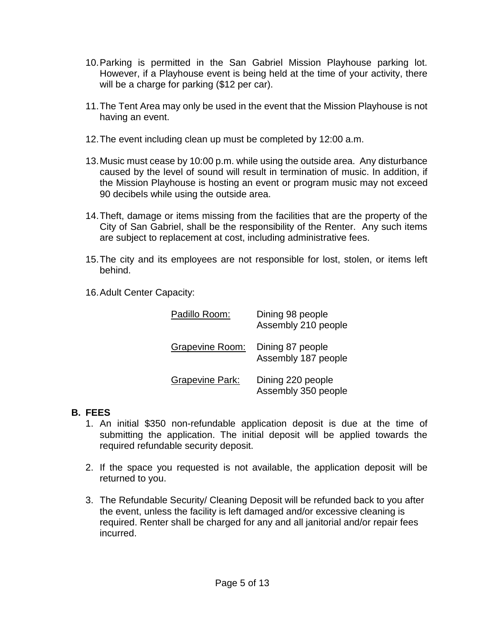- 10.Parking is permitted in the San Gabriel Mission Playhouse parking lot. However, if a Playhouse event is being held at the time of your activity, there will be a charge for parking (\$12 per car).
- 11.The Tent Area may only be used in the event that the Mission Playhouse is not having an event.
- 12.The event including clean up must be completed by 12:00 a.m.
- 13.Music must cease by 10:00 p.m. while using the outside area. Any disturbance caused by the level of sound will result in termination of music. In addition, if the Mission Playhouse is hosting an event or program music may not exceed 90 decibels while using the outside area.
- 14.Theft, damage or items missing from the facilities that are the property of the City of San Gabriel, shall be the responsibility of the Renter. Any such items are subject to replacement at cost, including administrative fees.
- 15.The city and its employees are not responsible for lost, stolen, or items left behind.
- 16.Adult Center Capacity:

| Padillo Room:          | Dining 98 people<br>Assembly 210 people  |
|------------------------|------------------------------------------|
| Grapevine Room:        | Dining 87 people<br>Assembly 187 people  |
| <b>Grapevine Park:</b> | Dining 220 people<br>Assembly 350 people |

# **B. FEES**

- 1. An initial \$350 non-refundable application deposit is due at the time of submitting the application. The initial deposit will be applied towards the required refundable security deposit.
- 2. If the space you requested is not available, the application deposit will be returned to you.
- 3. The Refundable Security/ Cleaning Deposit will be refunded back to you after the event, unless the facility is left damaged and/or excessive cleaning is required. Renter shall be charged for any and all janitorial and/or repair fees incurred.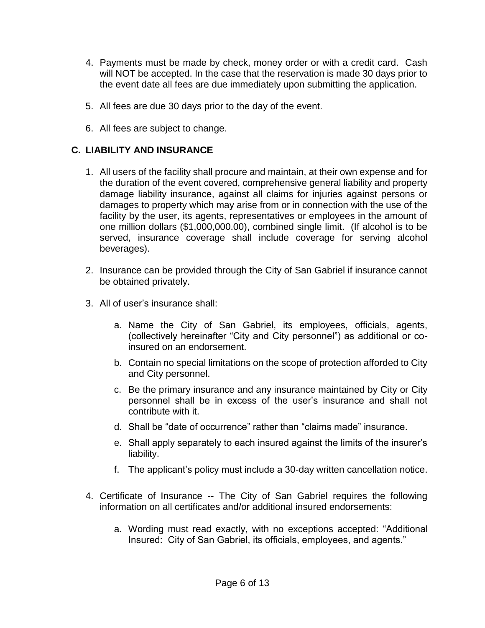- 4. Payments must be made by check, money order or with a credit card. Cash will NOT be accepted. In the case that the reservation is made 30 days prior to the event date all fees are due immediately upon submitting the application.
- 5. All fees are due 30 days prior to the day of the event.
- 6. All fees are subject to change.

# **C. LIABILITY AND INSURANCE**

- 1. All users of the facility shall procure and maintain, at their own expense and for the duration of the event covered, comprehensive general liability and property damage liability insurance, against all claims for injuries against persons or damages to property which may arise from or in connection with the use of the facility by the user, its agents, representatives or employees in the amount of one million dollars (\$1,000,000.00), combined single limit. (If alcohol is to be served, insurance coverage shall include coverage for serving alcohol beverages).
- 2. Insurance can be provided through the City of San Gabriel if insurance cannot be obtained privately.
- 3. All of user's insurance shall:
	- a. Name the City of San Gabriel, its employees, officials, agents, (collectively hereinafter "City and City personnel") as additional or coinsured on an endorsement.
	- b. Contain no special limitations on the scope of protection afforded to City and City personnel.
	- c. Be the primary insurance and any insurance maintained by City or City personnel shall be in excess of the user's insurance and shall not contribute with it.
	- d. Shall be "date of occurrence" rather than "claims made" insurance.
	- e. Shall apply separately to each insured against the limits of the insurer's liability.
	- f. The applicant's policy must include a 30-day written cancellation notice.
- 4. Certificate of Insurance -- The City of San Gabriel requires the following information on all certificates and/or additional insured endorsements:
	- a. Wording must read exactly, with no exceptions accepted: "Additional Insured: City of San Gabriel, its officials, employees, and agents."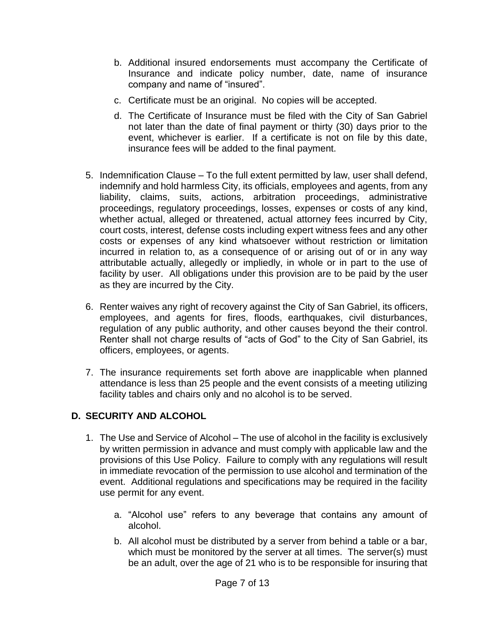- b. Additional insured endorsements must accompany the Certificate of Insurance and indicate policy number, date, name of insurance company and name of "insured".
- c. Certificate must be an original. No copies will be accepted.
- d. The Certificate of Insurance must be filed with the City of San Gabriel not later than the date of final payment or thirty (30) days prior to the event, whichever is earlier. If a certificate is not on file by this date, insurance fees will be added to the final payment.
- 5. Indemnification Clause To the full extent permitted by law, user shall defend, indemnify and hold harmless City, its officials, employees and agents, from any liability, claims, suits, actions, arbitration proceedings, administrative proceedings, regulatory proceedings, losses, expenses or costs of any kind, whether actual, alleged or threatened, actual attorney fees incurred by City, court costs, interest, defense costs including expert witness fees and any other costs or expenses of any kind whatsoever without restriction or limitation incurred in relation to, as a consequence of or arising out of or in any way attributable actually, allegedly or impliedly, in whole or in part to the use of facility by user. All obligations under this provision are to be paid by the user as they are incurred by the City.
- 6. Renter waives any right of recovery against the City of San Gabriel, its officers, employees, and agents for fires, floods, earthquakes, civil disturbances, regulation of any public authority, and other causes beyond the their control. Renter shall not charge results of "acts of God" to the City of San Gabriel, its officers, employees, or agents.
- 7. The insurance requirements set forth above are inapplicable when planned attendance is less than 25 people and the event consists of a meeting utilizing facility tables and chairs only and no alcohol is to be served.

# **D. SECURITY AND ALCOHOL**

- 1. The Use and Service of Alcohol The use of alcohol in the facility is exclusively by written permission in advance and must comply with applicable law and the provisions of this Use Policy. Failure to comply with any regulations will result in immediate revocation of the permission to use alcohol and termination of the event. Additional regulations and specifications may be required in the facility use permit for any event.
	- a. "Alcohol use" refers to any beverage that contains any amount of alcohol.
	- b. All alcohol must be distributed by a server from behind a table or a bar, which must be monitored by the server at all times. The server(s) must be an adult, over the age of 21 who is to be responsible for insuring that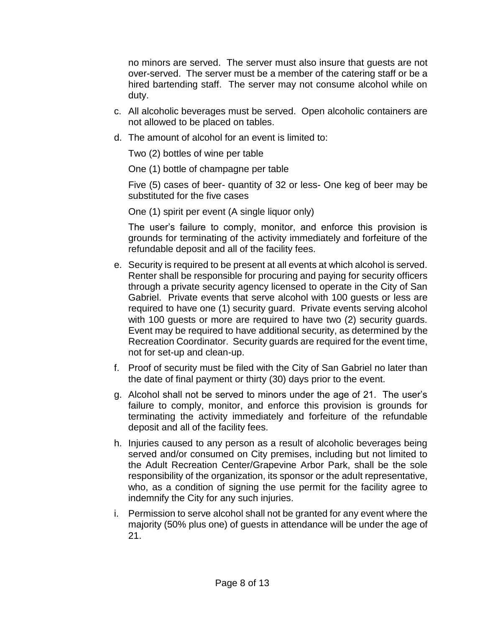no minors are served. The server must also insure that guests are not over-served. The server must be a member of the catering staff or be a hired bartending staff. The server may not consume alcohol while on duty.

- c. All alcoholic beverages must be served. Open alcoholic containers are not allowed to be placed on tables.
- d. The amount of alcohol for an event is limited to:

Two (2) bottles of wine per table

One (1) bottle of champagne per table

Five (5) cases of beer- quantity of 32 or less- One keg of beer may be substituted for the five cases

One (1) spirit per event (A single liquor only)

The user's failure to comply, monitor, and enforce this provision is grounds for terminating of the activity immediately and forfeiture of the refundable deposit and all of the facility fees.

- e. Security is required to be present at all events at which alcohol is served. Renter shall be responsible for procuring and paying for security officers through a private security agency licensed to operate in the City of San Gabriel. Private events that serve alcohol with 100 guests or less are required to have one (1) security guard. Private events serving alcohol with 100 guests or more are required to have two (2) security guards. Event may be required to have additional security, as determined by the Recreation Coordinator. Security guards are required for the event time, not for set-up and clean-up.
- f. Proof of security must be filed with the City of San Gabriel no later than the date of final payment or thirty (30) days prior to the event.
- g. Alcohol shall not be served to minors under the age of 21. The user's failure to comply, monitor, and enforce this provision is grounds for terminating the activity immediately and forfeiture of the refundable deposit and all of the facility fees.
- h. Injuries caused to any person as a result of alcoholic beverages being served and/or consumed on City premises, including but not limited to the Adult Recreation Center/Grapevine Arbor Park, shall be the sole responsibility of the organization, its sponsor or the adult representative, who, as a condition of signing the use permit for the facility agree to indemnify the City for any such injuries.
- i. Permission to serve alcohol shall not be granted for any event where the majority (50% plus one) of guests in attendance will be under the age of 21.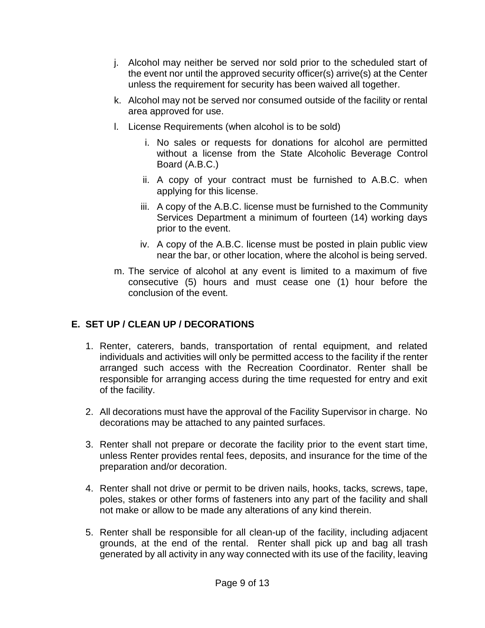- j. Alcohol may neither be served nor sold prior to the scheduled start of the event nor until the approved security officer(s) arrive(s) at the Center unless the requirement for security has been waived all together.
- k. Alcohol may not be served nor consumed outside of the facility or rental area approved for use.
- l. License Requirements (when alcohol is to be sold)
	- i. No sales or requests for donations for alcohol are permitted without a license from the State Alcoholic Beverage Control Board (A.B.C.)
	- ii. A copy of your contract must be furnished to A.B.C. when applying for this license.
	- iii. A copy of the A.B.C. license must be furnished to the Community Services Department a minimum of fourteen (14) working days prior to the event.
	- iv. A copy of the A.B.C. license must be posted in plain public view near the bar, or other location, where the alcohol is being served.
- m. The service of alcohol at any event is limited to a maximum of five consecutive (5) hours and must cease one (1) hour before the conclusion of the event.

# **E. SET UP / CLEAN UP / DECORATIONS**

- 1. Renter, caterers, bands, transportation of rental equipment, and related individuals and activities will only be permitted access to the facility if the renter arranged such access with the Recreation Coordinator. Renter shall be responsible for arranging access during the time requested for entry and exit of the facility.
- 2. All decorations must have the approval of the Facility Supervisor in charge. No decorations may be attached to any painted surfaces.
- 3. Renter shall not prepare or decorate the facility prior to the event start time, unless Renter provides rental fees, deposits, and insurance for the time of the preparation and/or decoration.
- 4. Renter shall not drive or permit to be driven nails, hooks, tacks, screws, tape, poles, stakes or other forms of fasteners into any part of the facility and shall not make or allow to be made any alterations of any kind therein.
- 5. Renter shall be responsible for all clean-up of the facility, including adjacent grounds, at the end of the rental. Renter shall pick up and bag all trash generated by all activity in any way connected with its use of the facility, leaving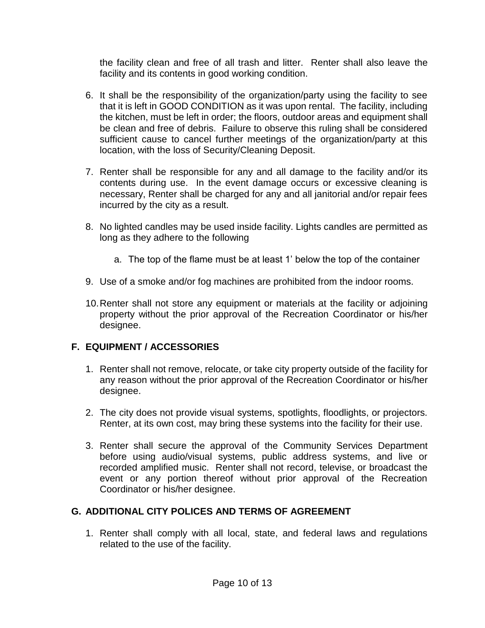the facility clean and free of all trash and litter. Renter shall also leave the facility and its contents in good working condition.

- 6. It shall be the responsibility of the organization/party using the facility to see that it is left in GOOD CONDITION as it was upon rental. The facility, including the kitchen, must be left in order; the floors, outdoor areas and equipment shall be clean and free of debris. Failure to observe this ruling shall be considered sufficient cause to cancel further meetings of the organization/party at this location, with the loss of Security/Cleaning Deposit.
- 7. Renter shall be responsible for any and all damage to the facility and/or its contents during use. In the event damage occurs or excessive cleaning is necessary, Renter shall be charged for any and all janitorial and/or repair fees incurred by the city as a result.
- 8. No lighted candles may be used inside facility. Lights candles are permitted as long as they adhere to the following
	- a. The top of the flame must be at least 1' below the top of the container
- 9. Use of a smoke and/or fog machines are prohibited from the indoor rooms.
- 10.Renter shall not store any equipment or materials at the facility or adjoining property without the prior approval of the Recreation Coordinator or his/her designee.

# **F. EQUIPMENT / ACCESSORIES**

- 1. Renter shall not remove, relocate, or take city property outside of the facility for any reason without the prior approval of the Recreation Coordinator or his/her designee.
- 2. The city does not provide visual systems, spotlights, floodlights, or projectors. Renter, at its own cost, may bring these systems into the facility for their use.
- 3. Renter shall secure the approval of the Community Services Department before using audio/visual systems, public address systems, and live or recorded amplified music. Renter shall not record, televise, or broadcast the event or any portion thereof without prior approval of the Recreation Coordinator or his/her designee.

# **G. ADDITIONAL CITY POLICES AND TERMS OF AGREEMENT**

1. Renter shall comply with all local, state, and federal laws and regulations related to the use of the facility.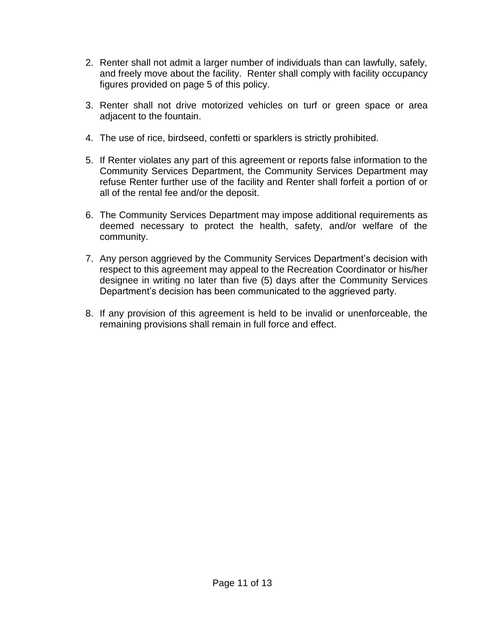- 2. Renter shall not admit a larger number of individuals than can lawfully, safely, and freely move about the facility. Renter shall comply with facility occupancy figures provided on page 5 of this policy.
- 3. Renter shall not drive motorized vehicles on turf or green space or area adjacent to the fountain.
- 4. The use of rice, birdseed, confetti or sparklers is strictly prohibited.
- 5. If Renter violates any part of this agreement or reports false information to the Community Services Department, the Community Services Department may refuse Renter further use of the facility and Renter shall forfeit a portion of or all of the rental fee and/or the deposit.
- 6. The Community Services Department may impose additional requirements as deemed necessary to protect the health, safety, and/or welfare of the community.
- 7. Any person aggrieved by the Community Services Department's decision with respect to this agreement may appeal to the Recreation Coordinator or his/her designee in writing no later than five (5) days after the Community Services Department's decision has been communicated to the aggrieved party.
- 8. If any provision of this agreement is held to be invalid or unenforceable, the remaining provisions shall remain in full force and effect.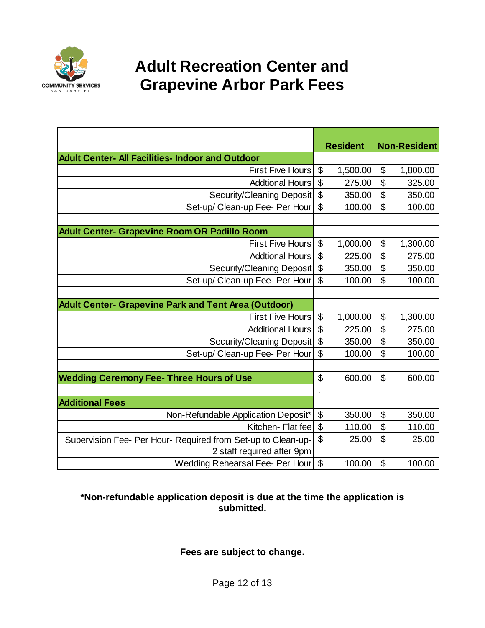

# **Adult Recreation Center and Grapevine Arbor Park Fees**

|                                                              |              | <b>Resident</b> |                           | <b>Non-Resident</b> |
|--------------------------------------------------------------|--------------|-----------------|---------------------------|---------------------|
| Adult Center- All Facilities- Indoor and Outdoor             |              |                 |                           |                     |
| <b>First Five Hours</b>                                      | \$           | 1,500.00        | \$                        | 1,800.00            |
| <b>Addtional Hours</b>                                       | \$           | 275.00          | \$                        | 325.00              |
| Security/Cleaning Deposit                                    | \$           | 350.00          | \$                        | 350.00              |
| Set-up/ Clean-up Fee- Per Hour                               | \$           | 100.00          | \$                        | 100.00              |
|                                                              |              |                 |                           |                     |
| <b>Adult Center- Grapevine Room OR Padillo Room</b>          |              |                 |                           |                     |
| <b>First Five Hours</b>                                      | \$           | 1,000.00        | \$                        | 1,300.00            |
| <b>Addtional Hours</b>                                       | \$           | 225.00          | \$                        | 275.00              |
| Security/Cleaning Deposit                                    | \$           | 350.00          | \$                        | 350.00              |
| Set-up/ Clean-up Fee- Per Hour                               | \$           | 100.00          | \$                        | 100.00              |
|                                                              |              |                 |                           |                     |
| <b>Adult Center- Grapevine Park and Tent Area (Outdoor)</b>  |              |                 |                           |                     |
| <b>First Five Hours</b>                                      | \$           | 1,000.00        | \$                        | 1,300.00            |
| <b>Additional Hours</b>                                      | \$           | 225.00          | $\overline{\mathfrak{s}}$ | 275.00              |
| Security/Cleaning Deposit                                    | \$<br>350.00 |                 | \$                        | 350.00              |
| Set-up/ Clean-up Fee- Per Hour                               | \$           | 100.00          | \$                        | 100.00              |
|                                                              |              |                 |                           |                     |
| <b>Wedding Ceremony Fee- Three Hours of Use</b>              |              | 600.00          | $\mathfrak{L}$            | 600.00              |
|                                                              |              |                 |                           |                     |
| <b>Additional Fees</b>                                       |              |                 |                           |                     |
| Non-Refundable Application Deposit*                          |              | 350.00          | \$                        | 350.00              |
| Kitchen-Flat fee                                             | \$           | 110.00          | \$                        | 110.00              |
| Supervision Fee- Per Hour- Required from Set-up to Clean-up- | \$           | 25.00           | \$                        | 25.00               |
| 2 staff required after 9pm                                   |              |                 |                           |                     |
| <b>Wedding Rehearsal Fee- Per Hour</b>                       | \$           | 100.00          | \$                        | 100.00              |

#### **\*Non-refundable application deposit is due at the time the application is submitted.**

**Fees are subject to change.**